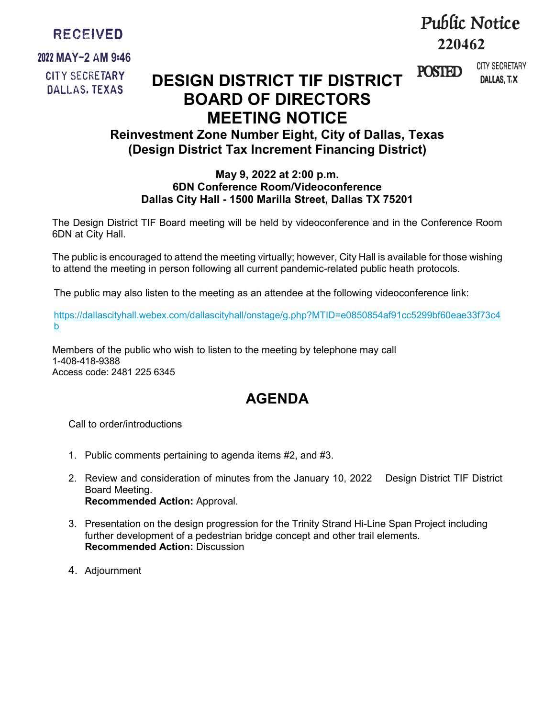

## **2022 MAY-2 AM 9:46 CITY SECRETARY DALLAS. TEXAS**

# **Pw[ic Notice 220462**

DALLAS, T.X CITY SECRETARY

POSTED

# **DESIGN DISTRICT TIF DISTRICT BOARD OF DIRECTORS MEETING NOTICE**

## **Reinvestment Zone Number Eight, City of Dallas, Texas (Design District Tax Increment Financing District)**

### **May 9, 2022 at 2:00 p.m. 6DN Conference Room/Videoconference Dallas City Hall - 1500 Marilla Street, Dallas TX 75201**

The Design District TIF Board meeting will be held by videoconference and in the Conference Room 6DN at City Hall.

The public is encouraged to attend the meeting virtually; however, City Hall is available for those wishing to attend the meeting in person following all current pandemic-related public heath protocols.

The public may also listen to the meeting as an attendee at the following videoconference link:

[https://dallascityhall.webex.com/dallascityhall/onstage/g.php?MTID=e0850854af91cc5299bf60eae33f73c4](https://gcc02.safelinks.protection.outlook.com/?url=https%3A%2F%2Fdallascityhall.webex.com%2Fdallascityhall%2Fonstage%2Fg.php%3FMTID%3De0850854af91cc5299bf60eae33f73c4b&data=05%7C01%7Csue.hounsel%40dallascityhall.com%7C0fa052491b0e493b93c308da247289de%7C2935709ec10c4809a302852d369f8700%7C0%7C0%7C637862371592025115%7CUnknown%7CTWFpbGZsb3d8eyJWIjoiMC4wLjAwMDAiLCJQIjoiV2luMzIiLCJBTiI6Ik1haWwiLCJXVCI6Mn0%3D%7C3000%7C%7C%7C&sdata=kGLjSLpNqB5SnYIXC0jXfjXePGZe%2FN21Q8T69iRUGNM%3D&reserved=0) [b](https://gcc02.safelinks.protection.outlook.com/?url=https%3A%2F%2Fdallascityhall.webex.com%2Fdallascityhall%2Fonstage%2Fg.php%3FMTID%3De0850854af91cc5299bf60eae33f73c4b&data=05%7C01%7Csue.hounsel%40dallascityhall.com%7C0fa052491b0e493b93c308da247289de%7C2935709ec10c4809a302852d369f8700%7C0%7C0%7C637862371592025115%7CUnknown%7CTWFpbGZsb3d8eyJWIjoiMC4wLjAwMDAiLCJQIjoiV2luMzIiLCJBTiI6Ik1haWwiLCJXVCI6Mn0%3D%7C3000%7C%7C%7C&sdata=kGLjSLpNqB5SnYIXC0jXfjXePGZe%2FN21Q8T69iRUGNM%3D&reserved=0)

Members of the public who wish to listen to the meeting by telephone may call 1-408-418-9388 Access code: 2481 225 6345

# **AGENDA**

Call to order/introductions

- 1. Public comments pertaining to agenda items #2, and #3.
- 2. Review and consideration of minutes from the January 10, 2022 Design District TIF District Board Meeting. **Recommended Action:** Approval.
- 3. Presentation on the design progression for the Trinity Strand Hi-Line Span Project including further development of a pedestrian bridge concept and other trail elements. **Recommended Action:** Discussion
- 4. Adjournment